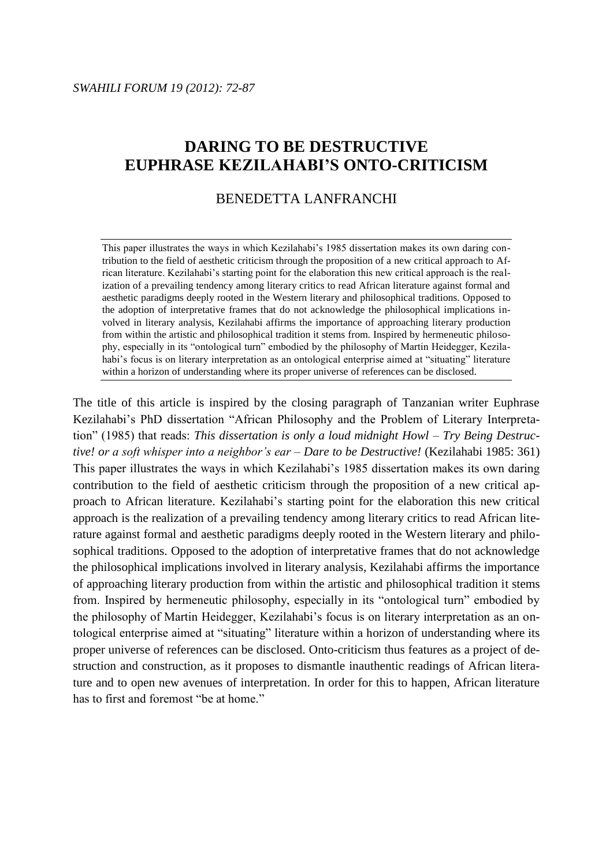# **DARING TO BE DESTRUCTIVE EUPHRASE KEZILAHABI'S ONTO-CRITICISM**

# BENEDETTA LANFRANCHI

This paper illustrates the ways in which Kezilahabi's 1985 dissertation makes its own daring contribution to the field of aesthetic criticism through the proposition of a new critical approach to African literature. Kezilahabi"s starting point for the elaboration this new critical approach is the realization of a prevailing tendency among literary critics to read African literature against formal and aesthetic paradigms deeply rooted in the Western literary and philosophical traditions. Opposed to the adoption of interpretative frames that do not acknowledge the philosophical implications involved in literary analysis, Kezilahabi affirms the importance of approaching literary production from within the artistic and philosophical tradition it stems from. Inspired by hermeneutic philosophy, especially in its "ontological turn" embodied by the philosophy of Martin Heidegger, Kezilahabi's focus is on literary interpretation as an ontological enterprise aimed at "situating" literature within a horizon of understanding where its proper universe of references can be disclosed.

The title of this article is inspired by the closing paragraph of Tanzanian writer Euphrase Kezilahabi"s PhD dissertation "African Philosophy and the Problem of Literary Interpretation" (1985) that reads: *This dissertation is only a loud midnight Howl – Try Being Destructive! or a soft whisper into a neighbor's ear – Dare to be Destructive!* (Kezilahabi 1985: 361) This paper illustrates the ways in which Kezilahabi"s 1985 dissertation makes its own daring contribution to the field of aesthetic criticism through the proposition of a new critical approach to African literature. Kezilahabi"s starting point for the elaboration this new critical approach is the realization of a prevailing tendency among literary critics to read African literature against formal and aesthetic paradigms deeply rooted in the Western literary and philosophical traditions. Opposed to the adoption of interpretative frames that do not acknowledge the philosophical implications involved in literary analysis, Kezilahabi affirms the importance of approaching literary production from within the artistic and philosophical tradition it stems from. Inspired by hermeneutic philosophy, especially in its "ontological turn" embodied by the philosophy of Martin Heidegger, Kezilahabi's focus is on literary interpretation as an ontological enterprise aimed at "situating" literature within a horizon of understanding where its proper universe of references can be disclosed. Onto-criticism thus features as a project of destruction and construction, as it proposes to dismantle inauthentic readings of African literature and to open new avenues of interpretation. In order for this to happen, African literature has to first and foremost "be at home."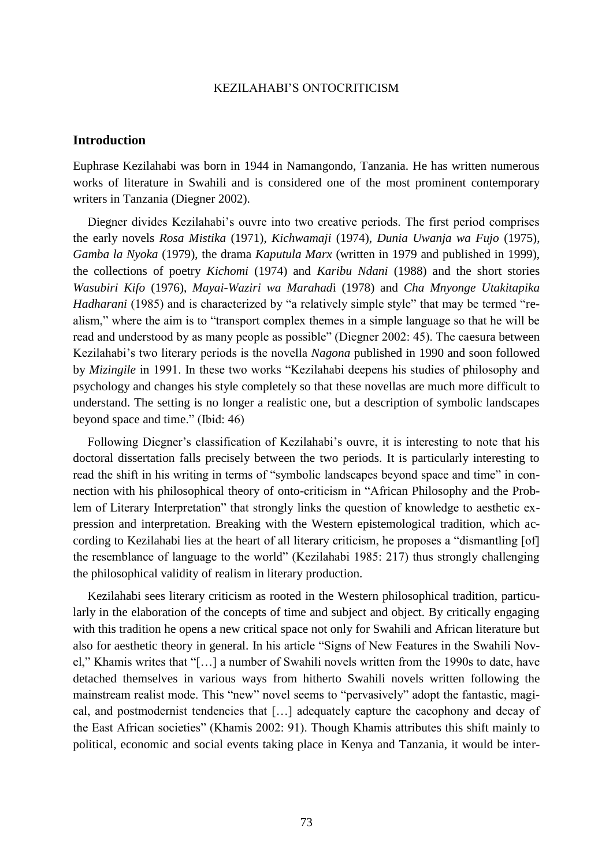# **Introduction**

Euphrase Kezilahabi was born in 1944 in Namangondo, Tanzania. He has written numerous works of literature in Swahili and is considered one of the most prominent contemporary writers in Tanzania (Diegner 2002).

Diegner divides Kezilahabi"s ouvre into two creative periods. The first period comprises the early novels *Rosa Mistika* (1971), *Kichwamaji* (1974), *Dunia Uwanja wa Fujo* (1975), *Gamba la Nyoka* (1979), the drama *Kaputula Marx* (written in 1979 and published in 1999), the collections of poetry *Kichomi* (1974) and *Karibu Ndani* (1988) and the short stories *Wasubiri Kifo* (1976), *Mayai-Waziri wa Marahad*i (1978) and *Cha Mnyonge Utakitapika Hadharani* (1985) and is characterized by "a relatively simple style" that may be termed "realism," where the aim is to "transport complex themes in a simple language so that he will be read and understood by as many people as possible" (Diegner 2002: 45). The caesura between Kezilahabi"s two literary periods is the novella *Nagona* published in 1990 and soon followed by *Mizingile* in 1991. In these two works "Kezilahabi deepens his studies of philosophy and psychology and changes his style completely so that these novellas are much more difficult to understand. The setting is no longer a realistic one, but a description of symbolic landscapes beyond space and time." (Ibid: 46)

Following Diegner's classification of Kezilahabi's ouvre, it is interesting to note that his doctoral dissertation falls precisely between the two periods. It is particularly interesting to read the shift in his writing in terms of "symbolic landscapes beyond space and time" in connection with his philosophical theory of onto-criticism in "African Philosophy and the Problem of Literary Interpretation" that strongly links the question of knowledge to aesthetic expression and interpretation. Breaking with the Western epistemological tradition, which according to Kezilahabi lies at the heart of all literary criticism, he proposes a "dismantling [of] the resemblance of language to the world" (Kezilahabi 1985: 217) thus strongly challenging the philosophical validity of realism in literary production.

Kezilahabi sees literary criticism as rooted in the Western philosophical tradition, particularly in the elaboration of the concepts of time and subject and object. By critically engaging with this tradition he opens a new critical space not only for Swahili and African literature but also for aesthetic theory in general. In his article "Signs of New Features in the Swahili Novel," Khamis writes that "[…] a number of Swahili novels written from the 1990s to date, have detached themselves in various ways from hitherto Swahili novels written following the mainstream realist mode. This "new" novel seems to "pervasively" adopt the fantastic, magical, and postmodernist tendencies that […] adequately capture the cacophony and decay of the East African societies" (Khamis 2002: 91). Though Khamis attributes this shift mainly to political, economic and social events taking place in Kenya and Tanzania, it would be inter-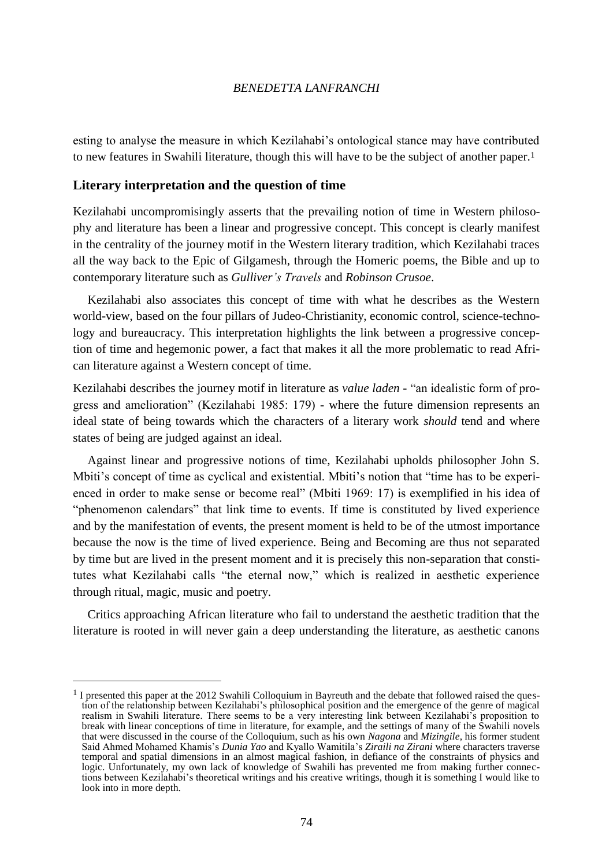esting to analyse the measure in which Kezilahabi"s ontological stance may have contributed to new features in Swahili literature, though this will have to be the subject of another paper.<sup>1</sup>

# **Literary interpretation and the question of time**

 $\overline{a}$ 

Kezilahabi uncompromisingly asserts that the prevailing notion of time in Western philosophy and literature has been a linear and progressive concept. This concept is clearly manifest in the centrality of the journey motif in the Western literary tradition, which Kezilahabi traces all the way back to the Epic of Gilgamesh, through the Homeric poems, the Bible and up to contemporary literature such as *Gulliver's Travels* and *Robinson Crusoe*.

Kezilahabi also associates this concept of time with what he describes as the Western world-view, based on the four pillars of Judeo-Christianity, economic control, science-technology and bureaucracy. This interpretation highlights the link between a progressive conception of time and hegemonic power, a fact that makes it all the more problematic to read African literature against a Western concept of time.

Kezilahabi describes the journey motif in literature as *value laden* - "an idealistic form of progress and amelioration" (Kezilahabi 1985: 179) - where the future dimension represents an ideal state of being towards which the characters of a literary work *should* tend and where states of being are judged against an ideal.

Against linear and progressive notions of time, Kezilahabi upholds philosopher John S. Mbiti's concept of time as cyclical and existential. Mbiti's notion that "time has to be experienced in order to make sense or become real" (Mbiti 1969: 17) is exemplified in his idea of "phenomenon calendars" that link time to events. If time is constituted by lived experience and by the manifestation of events, the present moment is held to be of the utmost importance because the now is the time of lived experience. Being and Becoming are thus not separated by time but are lived in the present moment and it is precisely this non-separation that constitutes what Kezilahabi calls "the eternal now," which is realized in aesthetic experience through ritual, magic, music and poetry.

Critics approaching African literature who fail to understand the aesthetic tradition that the literature is rooted in will never gain a deep understanding the literature, as aesthetic canons

 $<sup>1</sup>$  I presented this paper at the 2012 Swahili Colloquium in Bayreuth and the debate that followed raised the ques-</sup> tion of the relationship between Kezilahabi"s philosophical position and the emergence of the genre of magical realism in Swahili literature. There seems to be a very interesting link between Kezilahabi"s proposition to break with linear conceptions of time in literature, for example, and the settings of many of the Swahili novels that were discussed in the course of the Colloquium, such as his own *Nagona* and *Mizingile*, his former student Said Ahmed Mohamed Khamis"s *Dunia Yao* and Kyallo Wamitila"s *Ziraili na Zirani* where characters traverse temporal and spatial dimensions in an almost magical fashion, in defiance of the constraints of physics and logic. Unfortunately, my own lack of knowledge of Swahili has prevented me from making further connections between Kezilahabi"s theoretical writings and his creative writings, though it is something I would like to look into in more depth.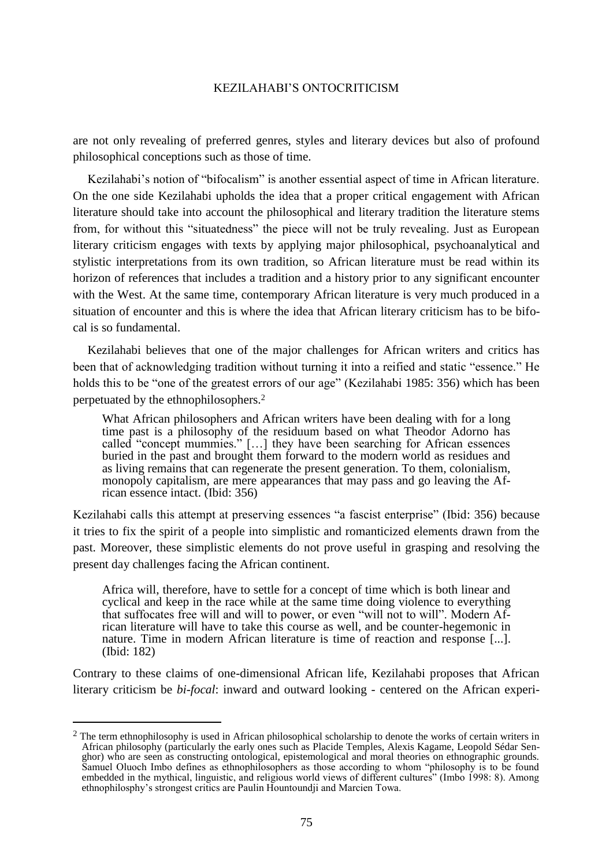are not only revealing of preferred genres, styles and literary devices but also of profound philosophical conceptions such as those of time.

Kezilahabi's notion of "bifocalism" is another essential aspect of time in African literature. On the one side Kezilahabi upholds the idea that a proper critical engagement with African literature should take into account the philosophical and literary tradition the literature stems from, for without this "situatedness" the piece will not be truly revealing. Just as European literary criticism engages with texts by applying major philosophical, psychoanalytical and stylistic interpretations from its own tradition, so African literature must be read within its horizon of references that includes a tradition and a history prior to any significant encounter with the West. At the same time, contemporary African literature is very much produced in a situation of encounter and this is where the idea that African literary criticism has to be bifocal is so fundamental.

Kezilahabi believes that one of the major challenges for African writers and critics has been that of acknowledging tradition without turning it into a reified and static "essence." He holds this to be "one of the greatest errors of our age" (Kezilahabi 1985: 356) which has been perpetuated by the ethnophilosophers.<sup>2</sup>

What African philosophers and African writers have been dealing with for a long time past is a philosophy of the residuum based on what Theodor Adorno has called "concept mummies." […] they have been searching for African essences buried in the past and brought them forward to the modern world as residues and as living remains that can regenerate the present generation. To them, colonialism, monopoly capitalism, are mere appearances that may pass and go leaving the African essence intact. (Ibid: 356)

Kezilahabi calls this attempt at preserving essences "a fascist enterprise" (Ibid: 356) because it tries to fix the spirit of a people into simplistic and romanticized elements drawn from the past. Moreover, these simplistic elements do not prove useful in grasping and resolving the present day challenges facing the African continent.

Africa will, therefore, have to settle for a concept of time which is both linear and cyclical and keep in the race while at the same time doing violence to everything that suffocates free will and will to power, or even "will not to will". Modern African literature will have to take this course as well, and be counter-hegemonic in nature. Time in modern African literature is time of reaction and response [...]. (Ibid: 182)

Contrary to these claims of one-dimensional African life, Kezilahabi proposes that African literary criticism be *bi-focal*: inward and outward looking - centered on the African experi-

 $2$  The term ethnophilosophy is used in African philosophical scholarship to denote the works of certain writers in African philosophy (particularly the early ones such as Placide Temples, Alexis Kagame, Leopold Sédar Senghor) who are seen as constructing ontological, epistemological and moral theories on ethnographic grounds. Samuel Oluoch Imbo defines as ethnophilosophers as those according to whom "philosophy is to be found embedded in the mythical, linguistic, and religious world views of different cultures" (Imbo 1998: 8). Among ethnophilosphy"s strongest critics are Paulin Hountoundji and Marcien Towa.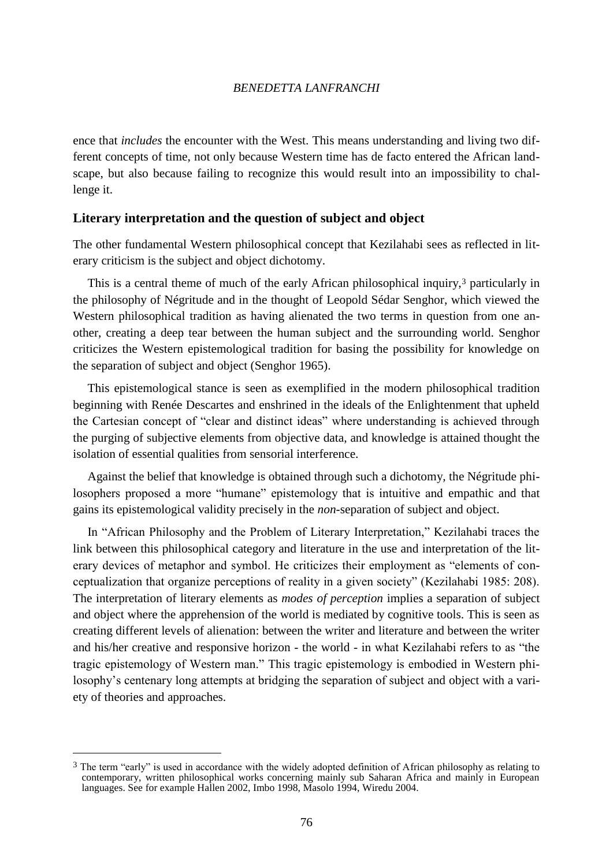ence that *includes* the encounter with the West. This means understanding and living two different concepts of time, not only because Western time has de facto entered the African landscape, but also because failing to recognize this would result into an impossibility to challenge it.

# **Literary interpretation and the question of subject and object**

The other fundamental Western philosophical concept that Kezilahabi sees as reflected in literary criticism is the subject and object dichotomy.

This is a central theme of much of the early African philosophical inquiry,<sup>3</sup> particularly in the philosophy of Négritude and in the thought of Leopold Sédar Senghor, which viewed the Western philosophical tradition as having alienated the two terms in question from one another, creating a deep tear between the human subject and the surrounding world. Senghor criticizes the Western epistemological tradition for basing the possibility for knowledge on the separation of subject and object (Senghor 1965).

This epistemological stance is seen as exemplified in the modern philosophical tradition beginning with Renée Descartes and enshrined in the ideals of the Enlightenment that upheld the Cartesian concept of "clear and distinct ideas" where understanding is achieved through the purging of subjective elements from objective data, and knowledge is attained thought the isolation of essential qualities from sensorial interference.

Against the belief that knowledge is obtained through such a dichotomy, the Négritude philosophers proposed a more "humane" epistemology that is intuitive and empathic and that gains its epistemological validity precisely in the *non*-separation of subject and object.

In "African Philosophy and the Problem of Literary Interpretation," Kezilahabi traces the link between this philosophical category and literature in the use and interpretation of the literary devices of metaphor and symbol. He criticizes their employment as "elements of conceptualization that organize perceptions of reality in a given society" (Kezilahabi 1985: 208). The interpretation of literary elements as *modes of perception* implies a separation of subject and object where the apprehension of the world is mediated by cognitive tools. This is seen as creating different levels of alienation: between the writer and literature and between the writer and his/her creative and responsive horizon - the world - in what Kezilahabi refers to as "the tragic epistemology of Western man." This tragic epistemology is embodied in Western philosophy"s centenary long attempts at bridging the separation of subject and object with a variety of theories and approaches.

<sup>&</sup>lt;sup>3</sup> The term "early" is used in accordance with the widely adopted definition of African philosophy as relating to contemporary, written philosophical works concerning mainly sub Saharan Africa and mainly in European languages. See for example Hallen 2002, Imbo 1998, Masolo 1994, Wiredu 2004.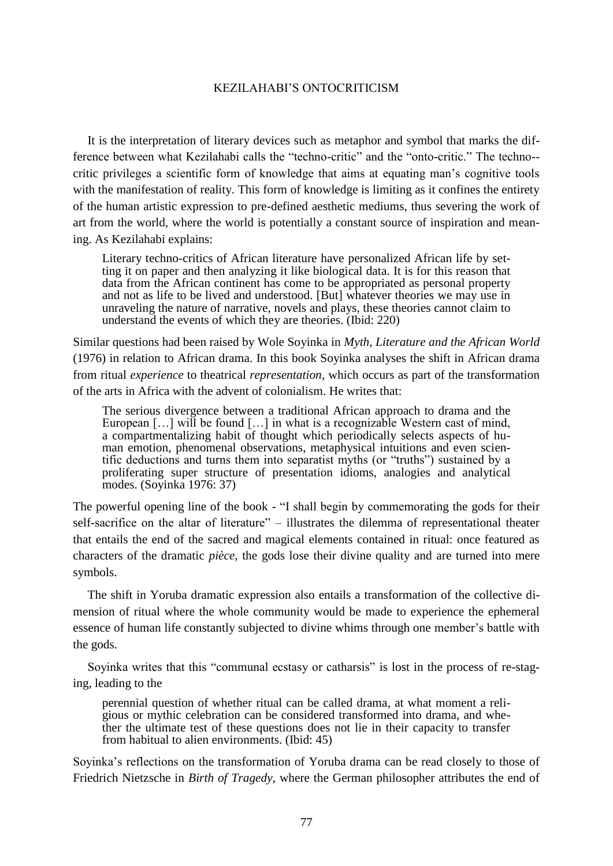It is the interpretation of literary devices such as metaphor and symbol that marks the difference between what Kezilahabi calls the "techno-critic" and the "onto-critic." The techno- critic privileges a scientific form of knowledge that aims at equating man"s cognitive tools with the manifestation of reality. This form of knowledge is limiting as it confines the entirety of the human artistic expression to pre-defined aesthetic mediums, thus severing the work of art from the world, where the world is potentially a constant source of inspiration and meaning. As Kezilahabi explains:

Literary techno-critics of African literature have personalized African life by setting it on paper and then analyzing it like biological data. It is for this reason that data from the African continent has come to be appropriated as personal property and not as life to be lived and understood. [But] whatever theories we may use in unraveling the nature of narrative, novels and plays, these theories cannot claim to understand the events of which they are theories. (Ibid: 220)

Similar questions had been raised by Wole Soyinka in *Myth, Literature and the African World*  (1976) in relation to African drama. In this book Soyinka analyses the shift in African drama from ritual *experience* to theatrical *representation*, which occurs as part of the transformation of the arts in Africa with the advent of colonialism. He writes that:

The serious divergence between a traditional African approach to drama and the European [...] will be found [...] in what is a recognizable Western cast of mind, a compartmentalizing habit of thought which periodically selects aspects of human emotion, phenomenal observations, metaphysical intuitions and even scientific deductions and turns them into separatist myths (or "truths") sustained by a proliferating super structure of presentation idioms, analogies and analytical modes. (Soyinka 1976: 37)

The powerful opening line of the book - "I shall begin by commemorating the gods for their self-sacrifice on the altar of literature" – illustrates the dilemma of representational theater that entails the end of the sacred and magical elements contained in ritual: once featured as characters of the dramatic *pièce*, the gods lose their divine quality and are turned into mere symbols.

The shift in Yoruba dramatic expression also entails a transformation of the collective dimension of ritual where the whole community would be made to experience the ephemeral essence of human life constantly subjected to divine whims through one member's battle with the gods.

Soyinka writes that this "communal ecstasy or catharsis" is lost in the process of re-staging, leading to the

perennial question of whether ritual can be called drama, at what moment a religious or mythic celebration can be considered transformed into drama, and whether the ultimate test of these questions does not lie in their capacity to transfer from habitual to alien environments. (Ibid: 45)

Soyinka"s reflections on the transformation of Yoruba drama can be read closely to those of Friedrich Nietzsche in *Birth of Tragedy*, where the German philosopher attributes the end of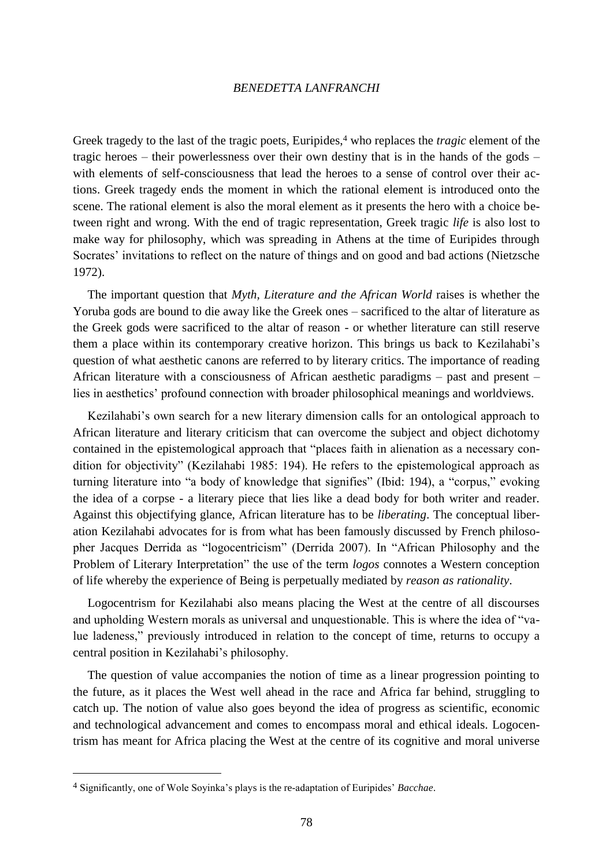Greek tragedy to the last of the tragic poets, Euripides,<sup>4</sup> who replaces the *tragic* element of the tragic heroes – their powerlessness over their own destiny that is in the hands of the gods – with elements of self-consciousness that lead the heroes to a sense of control over their actions. Greek tragedy ends the moment in which the rational element is introduced onto the scene. The rational element is also the moral element as it presents the hero with a choice between right and wrong. With the end of tragic representation, Greek tragic *life* is also lost to make way for philosophy, which was spreading in Athens at the time of Euripides through Socrates' invitations to reflect on the nature of things and on good and bad actions (Nietzsche 1972).

The important question that *Myth, Literature and the African World* raises is whether the Yoruba gods are bound to die away like the Greek ones – sacrificed to the altar of literature as the Greek gods were sacrificed to the altar of reason - or whether literature can still reserve them a place within its contemporary creative horizon. This brings us back to Kezilahabi"s question of what aesthetic canons are referred to by literary critics. The importance of reading African literature with a consciousness of African aesthetic paradigms – past and present – lies in aesthetics" profound connection with broader philosophical meanings and worldviews.

Kezilahabi's own search for a new literary dimension calls for an ontological approach to African literature and literary criticism that can overcome the subject and object dichotomy contained in the epistemological approach that "places faith in alienation as a necessary condition for objectivity" (Kezilahabi 1985: 194). He refers to the epistemological approach as turning literature into "a body of knowledge that signifies" (Ibid: 194), a "corpus," evoking the idea of a corpse - a literary piece that lies like a dead body for both writer and reader. Against this objectifying glance, African literature has to be *liberating*. The conceptual liberation Kezilahabi advocates for is from what has been famously discussed by French philosopher Jacques Derrida as "logocentricism" (Derrida 2007). In "African Philosophy and the Problem of Literary Interpretation" the use of the term *logos* connotes a Western conception of life whereby the experience of Being is perpetually mediated by *reason as rationality*.

Logocentrism for Kezilahabi also means placing the West at the centre of all discourses and upholding Western morals as universal and unquestionable. This is where the idea of "value ladeness," previously introduced in relation to the concept of time, returns to occupy a central position in Kezilahabi"s philosophy.

The question of value accompanies the notion of time as a linear progression pointing to the future, as it places the West well ahead in the race and Africa far behind, struggling to catch up. The notion of value also goes beyond the idea of progress as scientific, economic and technological advancement and comes to encompass moral and ethical ideals. Logocentrism has meant for Africa placing the West at the centre of its cognitive and moral universe

<sup>4</sup> Significantly, one of Wole Soyinka"s plays is the re-adaptation of Euripides" *Bacchae*.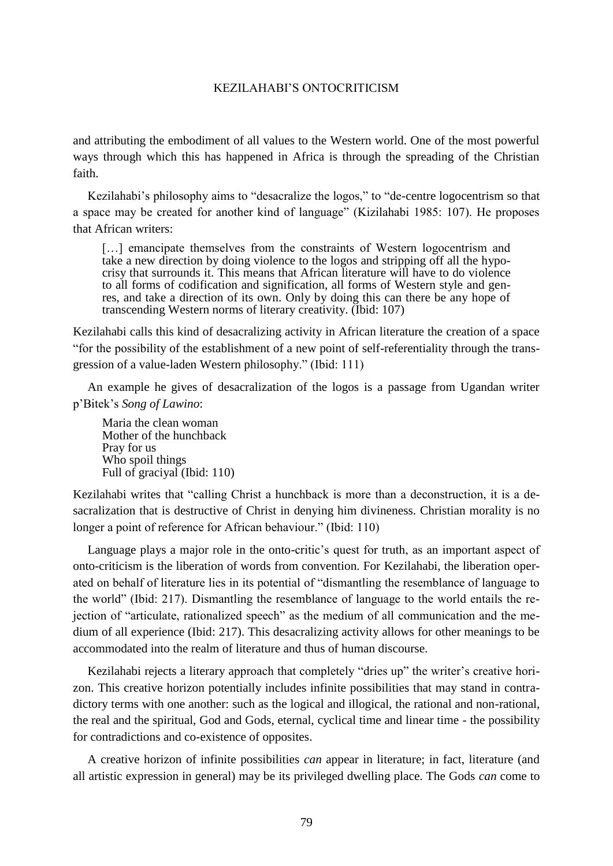and attributing the embodiment of all values to the Western world. One of the most powerful ways through which this has happened in Africa is through the spreading of the Christian faith.

Kezilahabi"s philosophy aims to "desacralize the logos," to "de-centre logocentrism so that a space may be created for another kind of language" (Kizilahabi 1985: 107). He proposes that African writers:

[...] emancipate themselves from the constraints of Western logocentrism and take a new direction by doing violence to the logos and stripping off all the hypocrisy that surrounds it. This means that African literature will have to do violence to all forms of codification and signification, all forms of Western style and genres, and take a direction of its own. Only by doing this can there be any hope of transcending Western norms of literary creativity. (Ibid: 107)

Kezilahabi calls this kind of desacralizing activity in African literature the creation of a space "for the possibility of the establishment of a new point of self-referentiality through the transgression of a value-laden Western philosophy." (Ibid: 111)

An example he gives of desacralization of the logos is a passage from Ugandan writer p"Bitek"s *Song of Lawino*:

Maria the clean woman Mother of the hunchback Pray for us Who spoil things Full of graciyal (Ibid: 110)

Kezilahabi writes that "calling Christ a hunchback is more than a deconstruction, it is a desacralization that is destructive of Christ in denying him divineness. Christian morality is no longer a point of reference for African behaviour." (Ibid: 110)

Language plays a major role in the onto-critic's quest for truth, as an important aspect of onto-criticism is the liberation of words from convention. For Kezilahabi, the liberation operated on behalf of literature lies in its potential of "dismantling the resemblance of language to the world" (Ibid: 217). Dismantling the resemblance of language to the world entails the rejection of "articulate, rationalized speech" as the medium of all communication and the medium of all experience (Ibid: 217). This desacralizing activity allows for other meanings to be accommodated into the realm of literature and thus of human discourse.

Kezilahabi rejects a literary approach that completely "dries up" the writer's creative horizon. This creative horizon potentially includes infinite possibilities that may stand in contradictory terms with one another: such as the logical and illogical, the rational and non-rational, the real and the spiritual, God and Gods, eternal, cyclical time and linear time - the possibility for contradictions and co-existence of opposites.

A creative horizon of infinite possibilities *can* appear in literature; in fact, literature (and all artistic expression in general) may be its privileged dwelling place. The Gods *can* come to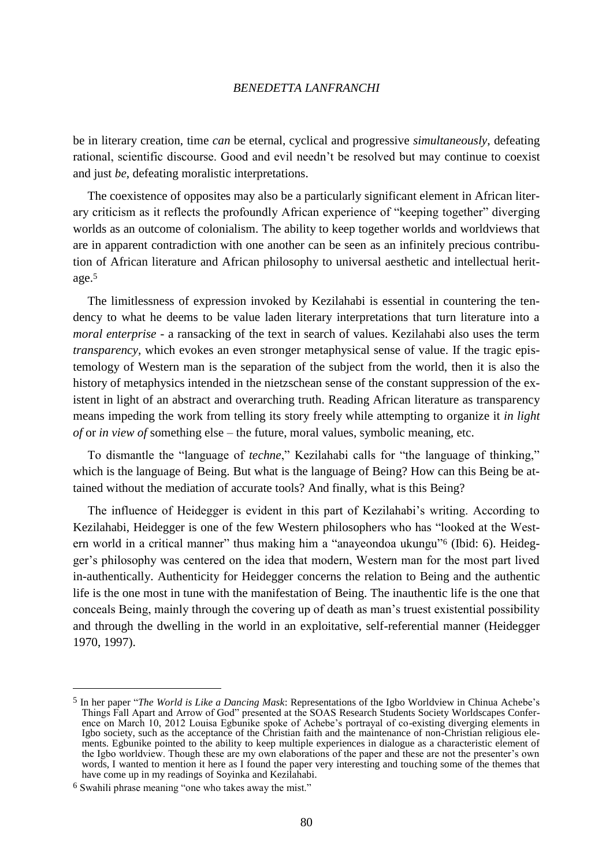be in literary creation, time *can* be eternal, cyclical and progressive *simultaneously*, defeating rational, scientific discourse. Good and evil needn"t be resolved but may continue to coexist and just *be*, defeating moralistic interpretations.

The coexistence of opposites may also be a particularly significant element in African literary criticism as it reflects the profoundly African experience of "keeping together" diverging worlds as an outcome of colonialism. The ability to keep together worlds and worldviews that are in apparent contradiction with one another can be seen as an infinitely precious contribution of African literature and African philosophy to universal aesthetic and intellectual heritage.<sup>5</sup>

The limitlessness of expression invoked by Kezilahabi is essential in countering the tendency to what he deems to be value laden literary interpretations that turn literature into a *moral enterprise* - a ransacking of the text in search of values. Kezilahabi also uses the term *transparency*, which evokes an even stronger metaphysical sense of value. If the tragic epistemology of Western man is the separation of the subject from the world, then it is also the history of metaphysics intended in the nietzschean sense of the constant suppression of the existent in light of an abstract and overarching truth. Reading African literature as transparency means impeding the work from telling its story freely while attempting to organize it *in light of* or *in view of* something else – the future, moral values, symbolic meaning, etc.

To dismantle the "language of *techne*," Kezilahabi calls for "the language of thinking," which is the language of Being. But what is the language of Being? How can this Being be attained without the mediation of accurate tools? And finally, what is this Being?

The influence of Heidegger is evident in this part of Kezilahabi"s writing. According to Kezilahabi, Heidegger is one of the few Western philosophers who has "looked at the Western world in a critical manner" thus making him a "anayeondoa ukungu"<sup>6</sup> (Ibid: 6). Heidegger"s philosophy was centered on the idea that modern, Western man for the most part lived in-authentically. Authenticity for Heidegger concerns the relation to Being and the authentic life is the one most in tune with the manifestation of Being. The inauthentic life is the one that conceals Being, mainly through the covering up of death as man"s truest existential possibility and through the dwelling in the world in an exploitative, self-referential manner (Heidegger 1970, 1997).

<sup>5</sup> In her paper "*The World is Like a Dancing Mask*: Representations of the Igbo Worldview in Chinua Achebe"s Things Fall Apart and Arrow of God" presented at the SOAS Research Students Society Worldscapes Conference on March 10, 2012 Louisa Egbunike spoke of Achebe"s portrayal of co-existing diverging elements in Igbo society, such as the acceptance of the Christian faith and the maintenance of non-Christian religious elements. Egbunike pointed to the ability to keep multiple experiences in dialogue as a characteristic element of the Igbo worldview. Though these are my own elaborations of the paper and these are not the presenter"s own words, I wanted to mention it here as I found the paper very interesting and touching some of the themes that have come up in my readings of Soyinka and Kezilahabi.

<sup>6</sup> Swahili phrase meaning "one who takes away the mist."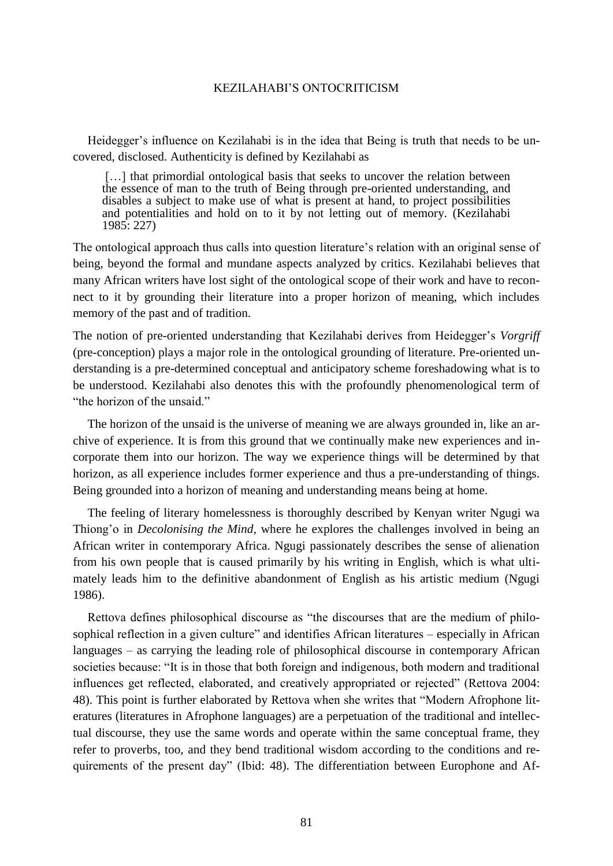Heidegger's influence on Kezilahabi is in the idea that Being is truth that needs to be uncovered, disclosed. Authenticity is defined by Kezilahabi as

[...] that primordial ontological basis that seeks to uncover the relation between the essence of man to the truth of Being through pre-oriented understanding, and disables a subject to make use of what is present at hand, to project possibilities and potentialities and hold on to it by not letting out of memory. (Kezilahabi 1985: 227)

The ontological approach thus calls into question literature's relation with an original sense of being, beyond the formal and mundane aspects analyzed by critics. Kezilahabi believes that many African writers have lost sight of the ontological scope of their work and have to reconnect to it by grounding their literature into a proper horizon of meaning, which includes memory of the past and of tradition.

The notion of pre-oriented understanding that Kezilahabi derives from Heidegger's *Vorgriff* (pre-conception) plays a major role in the ontological grounding of literature. Pre-oriented understanding is a pre-determined conceptual and anticipatory scheme foreshadowing what is to be understood. Kezilahabi also denotes this with the profoundly phenomenological term of "the horizon of the unsaid."

The horizon of the unsaid is the universe of meaning we are always grounded in, like an archive of experience. It is from this ground that we continually make new experiences and incorporate them into our horizon. The way we experience things will be determined by that horizon, as all experience includes former experience and thus a pre-understanding of things. Being grounded into a horizon of meaning and understanding means being at home.

The feeling of literary homelessness is thoroughly described by Kenyan writer Ngugi wa Thiong'o in *Decolonising the Mind*, where he explores the challenges involved in being an African writer in contemporary Africa. Ngugi passionately describes the sense of alienation from his own people that is caused primarily by his writing in English, which is what ultimately leads him to the definitive abandonment of English as his artistic medium (Ngugi 1986).

Rettova defines philosophical discourse as "the discourses that are the medium of philosophical reflection in a given culture" and identifies African literatures – especially in African languages – as carrying the leading role of philosophical discourse in contemporary African societies because: "It is in those that both foreign and indigenous, both modern and traditional influences get reflected, elaborated, and creatively appropriated or rejected" (Rettova 2004: 48). This point is further elaborated by Rettova when she writes that "Modern Afrophone literatures (literatures in Afrophone languages) are a perpetuation of the traditional and intellectual discourse, they use the same words and operate within the same conceptual frame, they refer to proverbs, too, and they bend traditional wisdom according to the conditions and requirements of the present day" (Ibid: 48). The differentiation between Europhone and Af-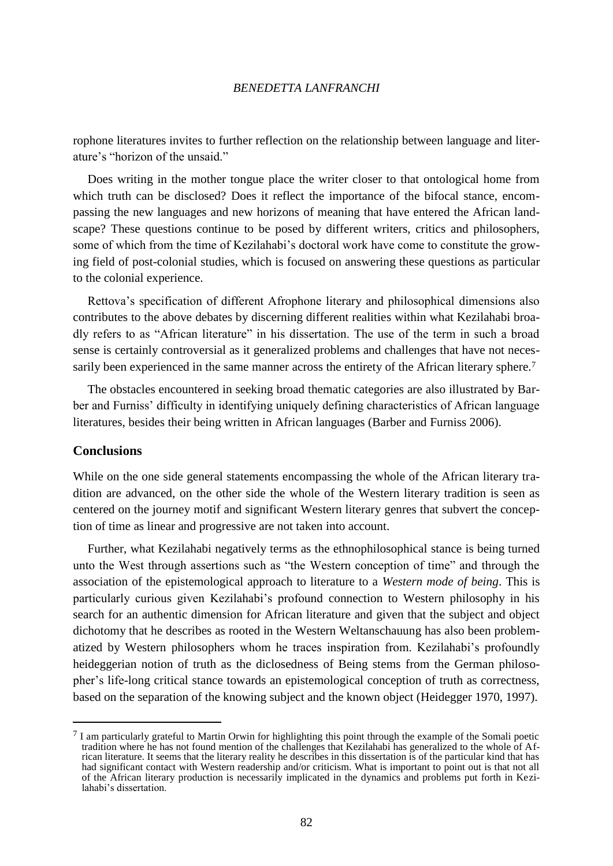rophone literatures invites to further reflection on the relationship between language and literature"s "horizon of the unsaid."

Does writing in the mother tongue place the writer closer to that ontological home from which truth can be disclosed? Does it reflect the importance of the bifocal stance, encompassing the new languages and new horizons of meaning that have entered the African landscape? These questions continue to be posed by different writers, critics and philosophers, some of which from the time of Kezilahabi"s doctoral work have come to constitute the growing field of post-colonial studies, which is focused on answering these questions as particular to the colonial experience.

Rettova"s specification of different Afrophone literary and philosophical dimensions also contributes to the above debates by discerning different realities within what Kezilahabi broadly refers to as "African literature" in his dissertation. The use of the term in such a broad sense is certainly controversial as it generalized problems and challenges that have not necessarily been experienced in the same manner across the entirety of the African literary sphere.<sup>7</sup>

The obstacles encountered in seeking broad thematic categories are also illustrated by Barber and Furniss" difficulty in identifying uniquely defining characteristics of African language literatures, besides their being written in African languages (Barber and Furniss 2006).

# **Conclusions**

 $\overline{a}$ 

While on the one side general statements encompassing the whole of the African literary tradition are advanced, on the other side the whole of the Western literary tradition is seen as centered on the journey motif and significant Western literary genres that subvert the conception of time as linear and progressive are not taken into account.

Further, what Kezilahabi negatively terms as the ethnophilosophical stance is being turned unto the West through assertions such as "the Western conception of time" and through the association of the epistemological approach to literature to a *Western mode of being*. This is particularly curious given Kezilahabi"s profound connection to Western philosophy in his search for an authentic dimension for African literature and given that the subject and object dichotomy that he describes as rooted in the Western Weltanschauung has also been problematized by Western philosophers whom he traces inspiration from. Kezilahabi's profoundly heideggerian notion of truth as the diclosedness of Being stems from the German philosopher"s life-long critical stance towards an epistemological conception of truth as correctness, based on the separation of the knowing subject and the known object (Heidegger 1970, 1997).

<sup>7</sup> I am particularly grateful to Martin Orwin for highlighting this point through the example of the Somali poetic tradition where he has not found mention of the challenges that Kezilahabi has generalized to the whole of African literature. It seems that the literary reality he describes in this dissertation is of the particular kind that has had significant contact with Western readership and/or criticism. What is important to point out is that not all of the African literary production is necessarily implicated in the dynamics and problems put forth in Kezilahabi"s dissertation.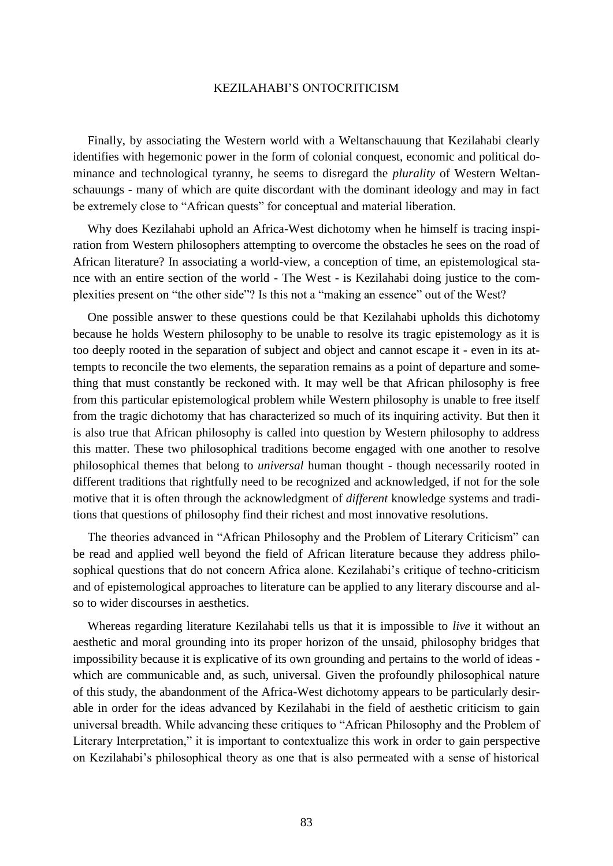Finally, by associating the Western world with a Weltanschauung that Kezilahabi clearly identifies with hegemonic power in the form of colonial conquest, economic and political dominance and technological tyranny, he seems to disregard the *plurality* of Western Weltanschauungs - many of which are quite discordant with the dominant ideology and may in fact be extremely close to "African quests" for conceptual and material liberation.

Why does Kezilahabi uphold an Africa-West dichotomy when he himself is tracing inspiration from Western philosophers attempting to overcome the obstacles he sees on the road of African literature? In associating a world-view, a conception of time, an epistemological stance with an entire section of the world - The West - is Kezilahabi doing justice to the complexities present on "the other side"? Is this not a "making an essence" out of the West?

One possible answer to these questions could be that Kezilahabi upholds this dichotomy because he holds Western philosophy to be unable to resolve its tragic epistemology as it is too deeply rooted in the separation of subject and object and cannot escape it - even in its attempts to reconcile the two elements, the separation remains as a point of departure and something that must constantly be reckoned with. It may well be that African philosophy is free from this particular epistemological problem while Western philosophy is unable to free itself from the tragic dichotomy that has characterized so much of its inquiring activity. But then it is also true that African philosophy is called into question by Western philosophy to address this matter. These two philosophical traditions become engaged with one another to resolve philosophical themes that belong to *universal* human thought - though necessarily rooted in different traditions that rightfully need to be recognized and acknowledged, if not for the sole motive that it is often through the acknowledgment of *different* knowledge systems and traditions that questions of philosophy find their richest and most innovative resolutions.

The theories advanced in "African Philosophy and the Problem of Literary Criticism" can be read and applied well beyond the field of African literature because they address philosophical questions that do not concern Africa alone. Kezilahabi"s critique of techno-criticism and of epistemological approaches to literature can be applied to any literary discourse and also to wider discourses in aesthetics.

Whereas regarding literature Kezilahabi tells us that it is impossible to *live* it without an aesthetic and moral grounding into its proper horizon of the unsaid, philosophy bridges that impossibility because it is explicative of its own grounding and pertains to the world of ideas which are communicable and, as such, universal. Given the profoundly philosophical nature of this study, the abandonment of the Africa-West dichotomy appears to be particularly desirable in order for the ideas advanced by Kezilahabi in the field of aesthetic criticism to gain universal breadth. While advancing these critiques to "African Philosophy and the Problem of Literary Interpretation," it is important to contextualize this work in order to gain perspective on Kezilahabi"s philosophical theory as one that is also permeated with a sense of historical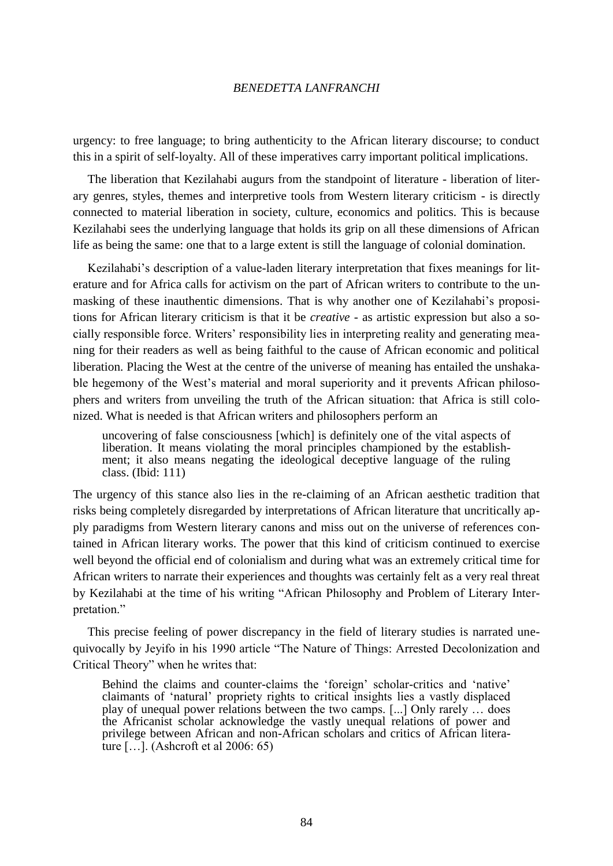urgency: to free language; to bring authenticity to the African literary discourse; to conduct this in a spirit of self-loyalty. All of these imperatives carry important political implications.

The liberation that Kezilahabi augurs from the standpoint of literature - liberation of literary genres, styles, themes and interpretive tools from Western literary criticism - is directly connected to material liberation in society, culture, economics and politics. This is because Kezilahabi sees the underlying language that holds its grip on all these dimensions of African life as being the same: one that to a large extent is still the language of colonial domination.

Kezilahabi's description of a value-laden literary interpretation that fixes meanings for literature and for Africa calls for activism on the part of African writers to contribute to the unmasking of these inauthentic dimensions. That is why another one of Kezilahabi's propositions for African literary criticism is that it be *creative* - as artistic expression but also a socially responsible force. Writers" responsibility lies in interpreting reality and generating meaning for their readers as well as being faithful to the cause of African economic and political liberation. Placing the West at the centre of the universe of meaning has entailed the unshakable hegemony of the West"s material and moral superiority and it prevents African philosophers and writers from unveiling the truth of the African situation: that Africa is still colonized. What is needed is that African writers and philosophers perform an

uncovering of false consciousness [which] is definitely one of the vital aspects of liberation. It means violating the moral principles championed by the establishment; it also means negating the ideological deceptive language of the ruling class. (Ibid: 111)

The urgency of this stance also lies in the re-claiming of an African aesthetic tradition that risks being completely disregarded by interpretations of African literature that uncritically apply paradigms from Western literary canons and miss out on the universe of references contained in African literary works. The power that this kind of criticism continued to exercise well beyond the official end of colonialism and during what was an extremely critical time for African writers to narrate their experiences and thoughts was certainly felt as a very real threat by Kezilahabi at the time of his writing "African Philosophy and Problem of Literary Interpretation."

This precise feeling of power discrepancy in the field of literary studies is narrated unequivocally by Jeyifo in his 1990 article "The Nature of Things: Arrested Decolonization and Critical Theory" when he writes that:

Behind the claims and counter-claims the 'foreign' scholar-critics and 'native' claimants of "natural" propriety rights to critical insights lies a vastly displaced play of unequal power relations between the two camps. [...] Only rarely … does the Africanist scholar acknowledge the vastly unequal relations of power and privilege between African and non-African scholars and critics of African literature […]. (Ashcroft et al 2006: 65)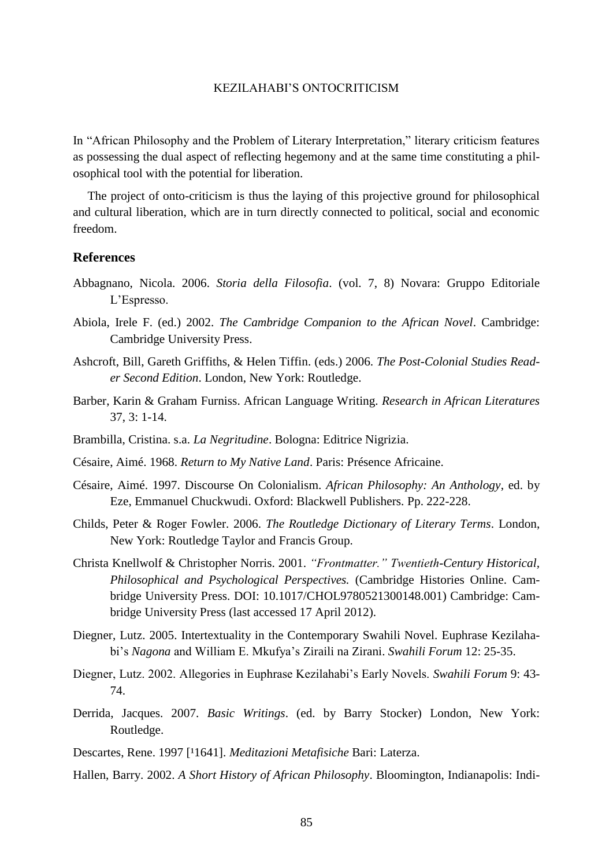In "African Philosophy and the Problem of Literary Interpretation," literary criticism features as possessing the dual aspect of reflecting hegemony and at the same time constituting a philosophical tool with the potential for liberation.

The project of onto-criticism is thus the laying of this projective ground for philosophical and cultural liberation, which are in turn directly connected to political, social and economic freedom.

# **References**

- Abbagnano, Nicola. 2006. *Storia della Filosofia*. (vol. 7, 8) Novara: Gruppo Editoriale L"Espresso.
- Abiola, Irele F. (ed.) 2002. *The Cambridge Companion to the African Novel*. Cambridge: Cambridge University Press.
- Ashcroft, Bill, Gareth Griffiths, & Helen Tiffin. (eds.) 2006. *The Post-Colonial Studies Reader Second Edition*. London, New York: Routledge.
- Barber, Karin & Graham Furniss. African Language Writing. *Research in African Literatures* 37, 3: 1-14.
- Brambilla, Cristina. s.a. *La Negritudine*. Bologna: Editrice Nigrizia.
- Césaire, Aimé. 1968. *Return to My Native Land*. Paris: Présence Africaine.
- Césaire, Aimé. 1997. Discourse On Colonialism. *African Philosophy: An Anthology*, ed. by Eze, Emmanuel Chuckwudi. Oxford: Blackwell Publishers. Pp. 222-228.
- Childs, Peter & Roger Fowler. 2006. *The Routledge Dictionary of Literary Terms*. London, New York: Routledge Taylor and Francis Group.
- Christa Knellwolf & Christopher Norris. 2001. *"Frontmatter." Twentieth-Century Historical, Philosophical and Psychological Perspectives.* (Cambridge Histories Online. Cambridge University Press. DOI: 10.1017/CHOL9780521300148.001) Cambridge: Cambridge University Press (last accessed 17 April 2012).
- Diegner, Lutz. 2005. Intertextuality in the Contemporary Swahili Novel. Euphrase Kezilahabi"s *Nagona* and William E. Mkufya"s Ziraili na Zirani. *Swahili Forum* 12: 25-35.
- Diegner, Lutz. 2002. Allegories in Euphrase Kezilahabi"s Early Novels. *Swahili Forum* 9: 43- 74.
- Derrida, Jacques. 2007. *Basic Writings*. (ed. by Barry Stocker) London, New York: Routledge.
- Descartes, Rene. 1997 <sup>[1</sup>1641]. *Meditazioni Metafisiche* Bari: Laterza.
- Hallen, Barry. 2002. *A Short History of African Philosophy*. Bloomington, Indianapolis: Indi-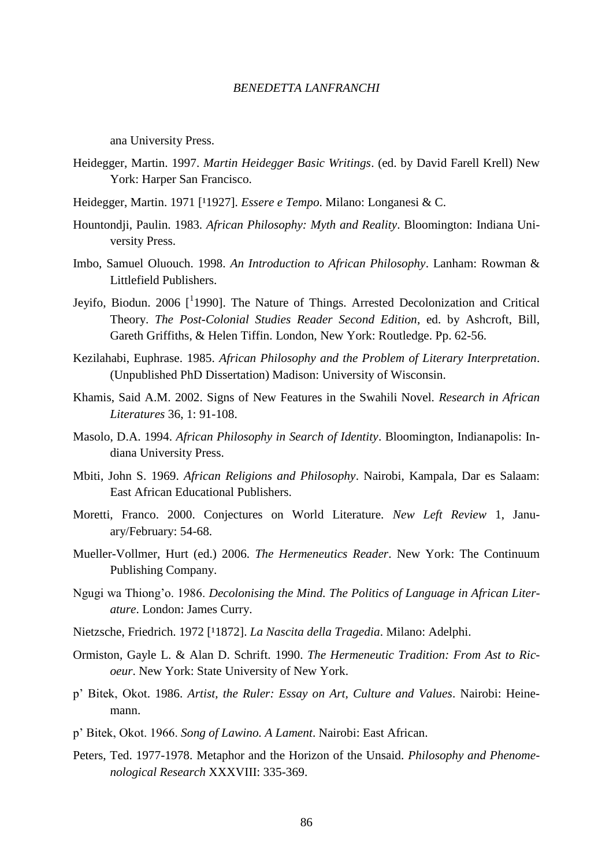ana University Press.

- Heidegger, Martin. 1997. *Martin Heidegger Basic Writings*. (ed. by David Farell Krell) New York: Harper San Francisco.
- Heidegger, Martin. 1971 [<sup>1</sup>1927]. *Essere e Tempo*. Milano: Longanesi & C.
- Hountondji, Paulin. 1983. *African Philosophy: Myth and Reality*. Bloomington: Indiana University Press.
- Imbo, Samuel Oluouch. 1998. *An Introduction to African Philosophy*. Lanham: Rowman & Littlefield Publishers.
- Jeyifo, Biodun. 2006 [1990]. The Nature of Things. Arrested Decolonization and Critical Theory. *The Post-Colonial Studies Reader Second Edition*, ed. by Ashcroft, Bill, Gareth Griffiths, & Helen Tiffin. London, New York: Routledge. Pp. 62-56.
- Kezilahabi, Euphrase. 1985. *African Philosophy and the Problem of Literary Interpretation*. (Unpublished PhD Dissertation) Madison: University of Wisconsin.
- Khamis, Said A.M. 2002. Signs of New Features in the Swahili Novel. *Research in African Literatures* 36, 1: 91-108.
- Masolo, D.A. 1994. *African Philosophy in Search of Identity*. Bloomington, Indianapolis: Indiana University Press.
- Mbiti, John S. 1969. *African Religions and Philosophy*. Nairobi, Kampala, Dar es Salaam: East African Educational Publishers.
- Moretti, Franco. 2000. Conjectures on World Literature. *New Left Review* 1, January/February: 54-68.
- Mueller-Vollmer, Hurt (ed.) 2006. *The Hermeneutics Reader*. New York: The Continuum Publishing Company.
- Ngugi wa Thiong"o. 1986. *Decolonising the Mind. The Politics of Language in African Literature*. London: James Curry.
- Nietzsche, Friedrich. 1972 [<sup>1</sup>1872]. *La Nascita della Tragedia*. Milano: Adelphi.
- Ormiston, Gayle L. & Alan D. Schrift. 1990. *The Hermeneutic Tradition: From Ast to Ricoeur*. New York: State University of New York.
- p" Bitek, Okot. 1986. *Artist, the Ruler: Essay on Art, Culture and Values*. Nairobi: Heinemann.
- p" Bitek, Okot. 1966. *Song of Lawino. A Lament*. Nairobi: East African.
- Peters, Ted. 1977-1978. Metaphor and the Horizon of the Unsaid. *Philosophy and Phenomenological Research* XXXVIII: 335-369.